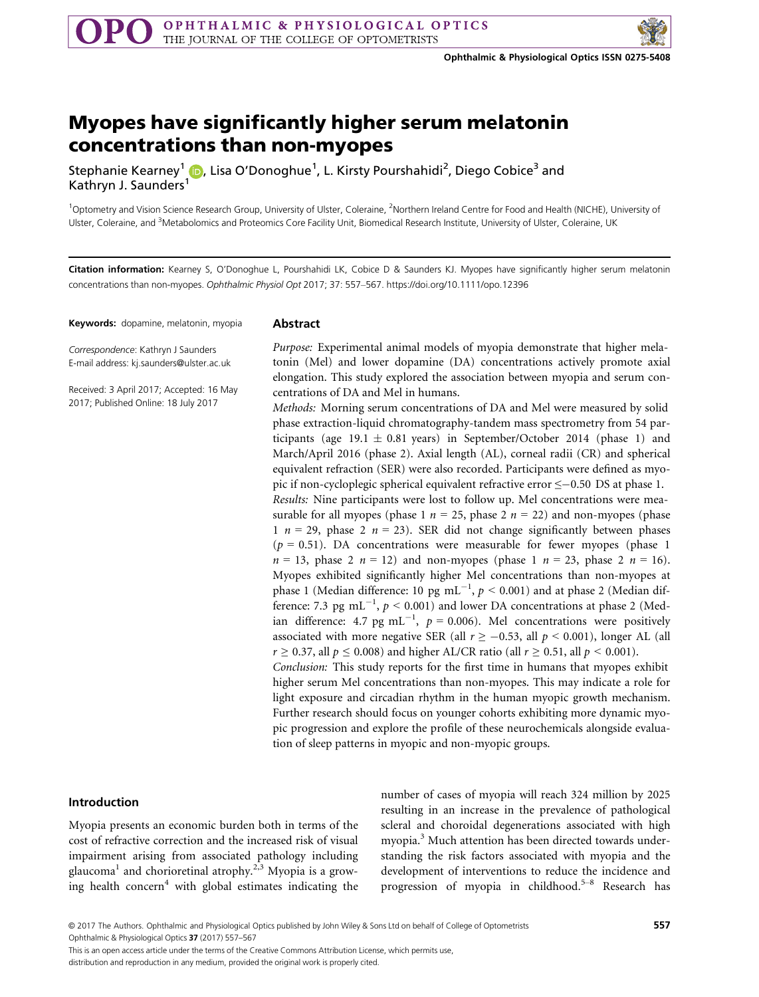

# Myopes have significantly higher serum melatonin

Stephanie Kearney<sup>1</sup> (D. Lisa O'D[on](http://orcid.org/0000-0003-1531-3117)oghue<sup>1</sup>, L. Kirsty Pourshahidi<sup>2</sup>, Diego Cobice<sup>3</sup> and Kathryn J. Saunders<sup>1</sup>

<sup>1</sup>Optometry and Vision Science Research Group, University of Ulster, Coleraine, <sup>2</sup>Northern Ireland Centre for Food and Health (NICHE), University of Ulster, Coleraine, and <sup>3</sup>Metabolomics and Proteomics Core Facility Unit, Biomedical Research Institute, University of Ulster, Coleraine, UK

Citation information: Kearney S, O'Donoghue L, Pourshahidi LK, Cobice D & Saunders KJ. Myopes have significantly higher serum melatonin concentrations than non-myopes. Ophthalmic Physiol Opt 2017; 37: 557–567.<https://doi.org/10.1111/opo.12396>

Keywords: dopamine, melatonin, myopia

## Abstract

Correspondence: Kathryn J Saunders E-mail address: kj.saunders@ulster.ac.uk

Received: 3 April 2017; Accepted: 16 May 2017; Published Online: 18 July 2017

Purpose: Experimental animal models of myopia demonstrate that higher melatonin (Mel) and lower dopamine (DA) concentrations actively promote axial elongation. This study explored the association between myopia and serum concentrations of DA and Mel in humans.

Methods: Morning serum concentrations of DA and Mel were measured by solid phase extraction-liquid chromatography-tandem mass spectrometry from 54 participants (age 19.1  $\pm$  0.81 years) in September/October 2014 (phase 1) and March/April 2016 (phase 2). Axial length (AL), corneal radii (CR) and spherical equivalent refraction (SER) were also recorded. Participants were defined as myopic if non-cycloplegic spherical equivalent refractive error  $\leq$  -0.50 DS at phase 1. Results: Nine participants were lost to follow up. Mel concentrations were measurable for all myopes (phase 1  $n = 25$ , phase 2  $n = 22$ ) and non-myopes (phase 1  $n = 29$ , phase 2  $n = 23$ ). SER did not change significantly between phases  $(p = 0.51)$ . DA concentrations were measurable for fewer myopes (phase 1)  $n = 13$ , phase 2  $n = 12$ ) and non-myopes (phase 1  $n = 23$ , phase 2  $n = 16$ ). Myopes exhibited significantly higher Mel concentrations than non-myopes at phase 1 (Median difference: 10 pg  $\mathrm{mL}^{-1},\, p \leq 0.001$ ) and at phase 2 (Median difference: 7.3 pg mL<sup>-1</sup>,  $p < 0.001$ ) and lower DA concentrations at phase 2 (Median difference: 4.7 pg mL<sup>-1</sup>,  $p = 0.006$ ). Mel concentrations were positively associated with more negative SER (all  $r \ge -0.53$ , all  $p < 0.001$ ), longer AL (all  $r \ge 0.37$ , all  $p \le 0.008$ ) and higher AL/CR ratio (all  $r \ge 0.51$ , all  $p \le 0.001$ ). Conclusion: This study reports for the first time in humans that myopes exhibit higher serum Mel concentrations than non-myopes. This may indicate a role for light exposure and circadian rhythm in the human myopic growth mechanism. Further research should focus on younger cohorts exhibiting more dynamic myo-

pic progression and explore the profile of these neurochemicals alongside evaluation of sleep patterns in myopic and non-myopic groups.

### Introduction

Myopia presents an economic burden both in terms of the cost of refractive correction and the increased risk of visual impairment arising from associated pathology including glaucoma<sup>1</sup> and chorioretinal atrophy.2,3 Myopia is a growing health concern<sup>4</sup> with global estimates indicating the number of cases of myopia will reach 324 million by 2025 resulting in an increase in the prevalence of pathological scleral and choroidal degenerations associated with high myopia.<sup>3</sup> Much attention has been directed towards understanding the risk factors associated with myopia and the development of interventions to reduce the incidence and progression of myopia in childhood.<sup>5–8</sup> Research has

© 2017 The Authors. Ophthalmic and Physiological Optics published by John Wiley & Sons Ltd on behalf of College of Optometrists Ophthalmic & Physiological Optics 37 (2017) 557–567

557

This is an open access article under the terms of the [Creative Commons Attribution](http://creativecommons.org/licenses/by/4.0/) License, which permits use,

distribution and reproduction in any medium, provided the original work is properly cited.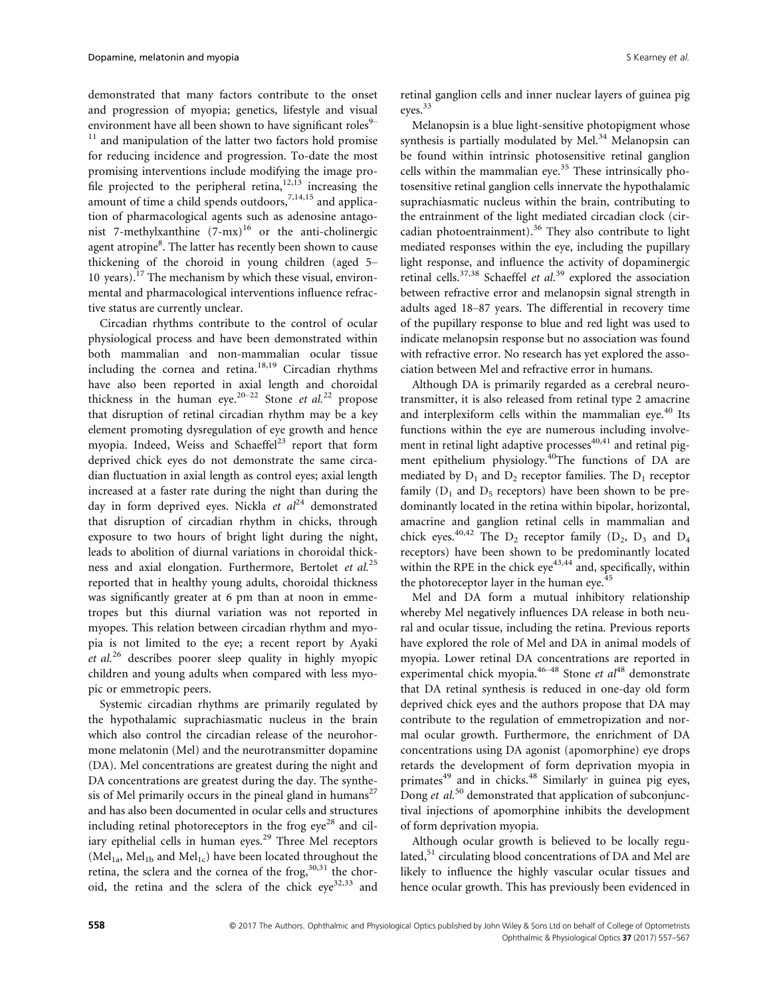demonstrated that many factors contribute to the onset and progression of myopia; genetics, lifestyle and visual environment have all been shown to have significant roles $9 11$  and manipulation of the latter two factors hold promise for reducing incidence and progression. To-date the most promising interventions include modifying the image profile projected to the peripheral retina, $12,13$  increasing the amount of time a child spends outdoors,<sup>7,14,15</sup> and application of pharmacological agents such as adenosine antagonist 7-methylxanthine  $(7-mx)^{16}$  or the anti-cholinergic agent atropine $^8.$  The latter has recently been shown to cause thickening of the choroid in young children (aged 5– 10 years).<sup>17</sup> The mechanism by which these visual, environmental and pharmacological interventions influence refractive status are currently unclear.

Circadian rhythms contribute to the control of ocular physiological process and have been demonstrated within both mammalian and non-mammalian ocular tissue including the cornea and retina. $18,19$  Circadian rhythms have also been reported in axial length and choroidal thickness in the human eye.<sup>20–22</sup> Stone et al.<sup>22</sup> propose that disruption of retinal circadian rhythm may be a key element promoting dysregulation of eye growth and hence myopia. Indeed, Weiss and Schaeffel<sup>23</sup> report that form deprived chick eyes do not demonstrate the same circadian fluctuation in axial length as control eyes; axial length increased at a faster rate during the night than during the day in form deprived eyes. Nickla et  $al^{24}$  demonstrated that disruption of circadian rhythm in chicks, through exposure to two hours of bright light during the night, leads to abolition of diurnal variations in choroidal thickness and axial elongation. Furthermore, Bertolet et al.<sup>25</sup> reported that in healthy young adults, choroidal thickness was significantly greater at 6 pm than at noon in emmetropes but this diurnal variation was not reported in myopes. This relation between circadian rhythm and myopia is not limited to the eye; a recent report by Ayaki et  $al^{26}$  describes poorer sleep quality in highly myopic children and young adults when compared with less myopic or emmetropic peers.

Systemic circadian rhythms are primarily regulated by the hypothalamic suprachiasmatic nucleus in the brain which also control the circadian release of the neurohormone melatonin (Mel) and the neurotransmitter dopamine (DA). Mel concentrations are greatest during the night and DA concentrations are greatest during the day. The synthesis of Mel primarily occurs in the pineal gland in humans<sup>27</sup> and has also been documented in ocular cells and structures including retinal photoreceptors in the frog  $e^{\chi^2}$  and ciliary epithelial cells in human eyes. $29$  Three Mel receptors (Mel<sub>1a</sub>, Mel<sub>1b</sub> and Mel<sub>1c</sub>) have been located throughout the retina, the sclera and the cornea of the frog,  $30,31$  the choroid, the retina and the sclera of the chick  $eye^{32,33}$  and

retinal ganglion cells and inner nuclear layers of guinea pig eyes.33

Melanopsin is a blue light-sensitive photopigment whose synthesis is partially modulated by Mel.<sup>34</sup> Melanopsin can be found within intrinsic photosensitive retinal ganglion cells within the mammalian eye. $35$  These intrinsically photosensitive retinal ganglion cells innervate the hypothalamic suprachiasmatic nucleus within the brain, contributing to the entrainment of the light mediated circadian clock (circadian photoentrainment).<sup>36</sup> They also contribute to light mediated responses within the eye, including the pupillary light response, and influence the activity of dopaminergic retinal cells.<sup>37,38</sup> Schaeffel et al.<sup>39</sup> explored the association between refractive error and melanopsin signal strength in adults aged 18–87 years. The differential in recovery time of the pupillary response to blue and red light was used to indicate melanopsin response but no association was found with refractive error. No research has yet explored the association between Mel and refractive error in humans.

Although DA is primarily regarded as a cerebral neurotransmitter, it is also released from retinal type 2 amacrine and interplexiform cells within the mammalian eye.<sup>40</sup> Its functions within the eye are numerous including involvement in retinal light adaptive processes $40,41$  and retinal pigment epithelium physiology.<sup>40</sup>The functions of DA are mediated by  $D_1$  and  $D_2$  receptor families. The  $D_1$  receptor family  $(D_1$  and  $D_5$  receptors) have been shown to be predominantly located in the retina within bipolar, horizontal, amacrine and ganglion retinal cells in mammalian and chick eyes.<sup>40,42</sup> The  $D_2$  receptor family ( $D_2$ ,  $D_3$  and  $D_4$ receptors) have been shown to be predominantly located within the RPE in the chick  $eye^{43,44}$  and, specifically, within the photoreceptor layer in the human eye.<sup>45</sup>

Mel and DA form a mutual inhibitory relationship whereby Mel negatively influences DA release in both neural and ocular tissue, including the retina. Previous reports have explored the role of Mel and DA in animal models of myopia. Lower retinal DA concentrations are reported in experimental chick myopia.<sup>46–48</sup> Stone et  $aI^{48}$  demonstrate that DA retinal synthesis is reduced in one-day old form deprived chick eyes and the authors propose that DA may contribute to the regulation of emmetropization and normal ocular growth. Furthermore, the enrichment of DA concentrations using DA agonist (apomorphine) eye drops retards the development of form deprivation myopia in primates<sup>49</sup> and in chicks.<sup>48</sup> Similarly' in guinea pig eyes, Dong *et al.*<sup>50</sup> demonstrated that application of subconjunctival injections of apomorphine inhibits the development of form deprivation myopia.

Although ocular growth is believed to be locally regulated,<sup>51</sup> circulating blood concentrations of DA and Mel are likely to influence the highly vascular ocular tissues and hence ocular growth. This has previously been evidenced in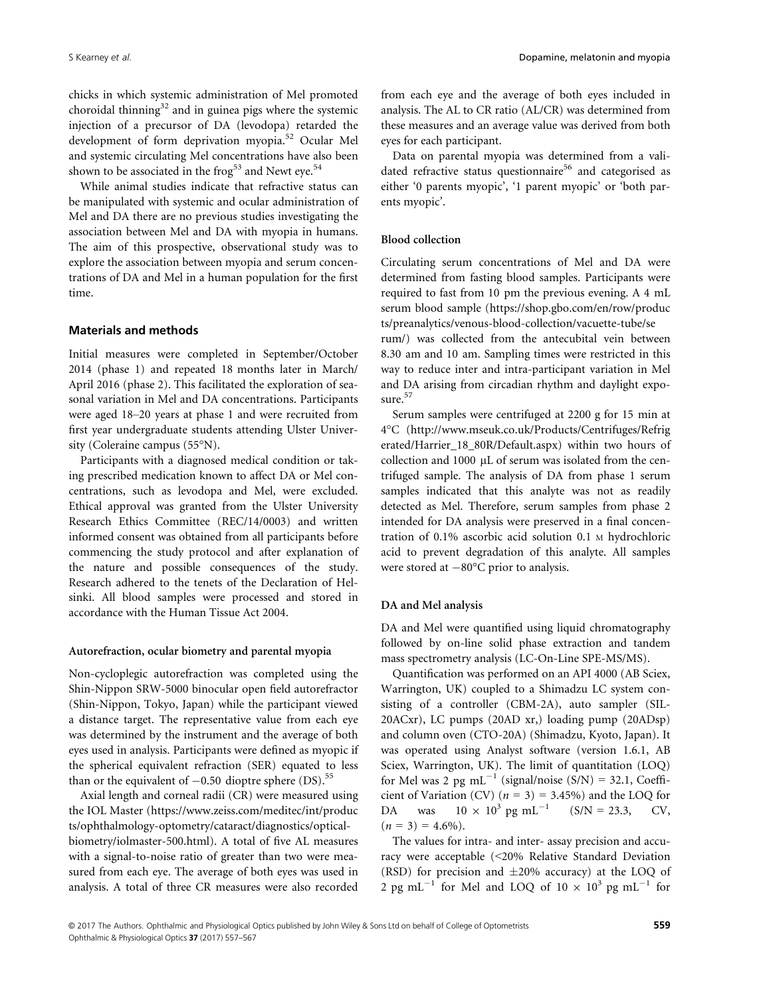chicks in which systemic administration of Mel promoted choroidal thinning<sup>32</sup> and in guinea pigs where the systemic injection of a precursor of DA (levodopa) retarded the development of form deprivation myopia.52 Ocular Mel and systemic circulating Mel concentrations have also been shown to be associated in the frog<sup>53</sup> and Newt eye.<sup>54</sup>

While animal studies indicate that refractive status can be manipulated with systemic and ocular administration of Mel and DA there are no previous studies investigating the association between Mel and DA with myopia in humans. The aim of this prospective, observational study was to explore the association between myopia and serum concentrations of DA and Mel in a human population for the first time.

### Materials and methods

Initial measures were completed in September/October 2014 (phase 1) and repeated 18 months later in March/ April 2016 (phase 2). This facilitated the exploration of seasonal variation in Mel and DA concentrations. Participants were aged 18–20 years at phase 1 and were recruited from first year undergraduate students attending Ulster University (Coleraine campus (55°N).

Participants with a diagnosed medical condition or taking prescribed medication known to affect DA or Mel concentrations, such as levodopa and Mel, were excluded. Ethical approval was granted from the Ulster University Research Ethics Committee (REC/14/0003) and written informed consent was obtained from all participants before commencing the study protocol and after explanation of the nature and possible consequences of the study. Research adhered to the tenets of the Declaration of Helsinki. All blood samples were processed and stored in accordance with the Human Tissue Act 2004.

## Autorefraction, ocular biometry and parental myopia

Non-cycloplegic autorefraction was completed using the Shin-Nippon SRW-5000 binocular open field autorefractor (Shin-Nippon, Tokyo, Japan) while the participant viewed a distance target. The representative value from each eye was determined by the instrument and the average of both eyes used in analysis. Participants were defined as myopic if the spherical equivalent refraction (SER) equated to less than or the equivalent of  $-0.50$  dioptre sphere (DS).<sup>55</sup>

Axial length and corneal radii (CR) were measured using the IOL Master [\(https://www.zeiss.com/meditec/int/produc](https://www.zeiss.com/meditec/int/products/ophthalmology-optometry/cataract/diagnostics/optical-biometry/iolmaster-500.html) [ts/ophthalmology-optometry/cataract/diagnostics/optical](https://www.zeiss.com/meditec/int/products/ophthalmology-optometry/cataract/diagnostics/optical-biometry/iolmaster-500.html)[biometry/iolmaster-500.html\)](https://www.zeiss.com/meditec/int/products/ophthalmology-optometry/cataract/diagnostics/optical-biometry/iolmaster-500.html). A total of five AL measures with a signal-to-noise ratio of greater than two were measured from each eye. The average of both eyes was used in analysis. A total of three CR measures were also recorded

from each eye and the average of both eyes included in analysis. The AL to CR ratio (AL/CR) was determined from these measures and an average value was derived from both eyes for each participant.

Data on parental myopia was determined from a validated refractive status questionnaire<sup>56</sup> and categorised as either '0 parents myopic', '1 parent myopic' or 'both parents myopic'.

## Blood collection

Circulating serum concentrations of Mel and DA were determined from fasting blood samples. Participants were required to fast from 10 pm the previous evening. A 4 mL serum blood sample [\(https://shop.gbo.com/en/row/produc](https://shop.gbo.com/en/row/products/preanalytics/venous-blood-collection/vacuette-tube/serum/) [ts/preanalytics/venous-blood-collection/vacuette-tube/se](https://shop.gbo.com/en/row/products/preanalytics/venous-blood-collection/vacuette-tube/serum/) [rum/](https://shop.gbo.com/en/row/products/preanalytics/venous-blood-collection/vacuette-tube/serum/)) was collected from the antecubital vein between 8.30 am and 10 am. Sampling times were restricted in this way to reduce inter and intra-participant variation in Mel and DA arising from circadian rhythm and daylight exposure. $57$ 

Serum samples were centrifuged at 2200 g for 15 min at 4°C [\(http://www.mseuk.co.uk/Products/Centrifuges/Refrig](http://www.mseuk.co.uk/Products/Centrifuges/Refrigerated/Harrier_18_80R/Default.aspx) [erated/Harrier\\_18\\_80R/Default.aspx\)](http://www.mseuk.co.uk/Products/Centrifuges/Refrigerated/Harrier_18_80R/Default.aspx) within two hours of collection and 1000  $\mu$ L of serum was isolated from the centrifuged sample. The analysis of DA from phase 1 serum samples indicated that this analyte was not as readily detected as Mel. Therefore, serum samples from phase 2 intended for DA analysis were preserved in a final concentration of 0.1% ascorbic acid solution 0.1 <sup>M</sup> hydrochloric acid to prevent degradation of this analyte. All samples were stored at  $-80^{\circ}$ C prior to analysis.

#### DA and Mel analysis

DA and Mel were quantified using liquid chromatography followed by on-line solid phase extraction and tandem mass spectrometry analysis (LC-On-Line SPE-MS/MS).

Quantification was performed on an API 4000 (AB Sciex, Warrington, UK) coupled to a Shimadzu LC system consisting of a controller (CBM-2A), auto sampler (SIL-20ACxr), LC pumps (20AD xr,) loading pump (20ADsp) and column oven (CTO-20A) (Shimadzu, Kyoto, Japan). It was operated using Analyst software (version 1.6.1, AB Sciex, Warrington, UK). The limit of quantitation (LOQ) for Mel was 2 pg mL<sup>-1</sup> (signal/noise (S/N) = 32.1, Coefficient of Variation (CV) ( $n = 3$ ) = 3.45%) and the LOQ for DA was  $10 \times 10^3$  pg mL<sup>-1</sup> (S/N = 23.3, CV,  $(n = 3) = 4.6\%$ ).

The values for intra- and inter- assay precision and accuracy were acceptable (<20% Relative Standard Deviation (RSD) for precision and  $\pm 20\%$  accuracy) at the LOQ of 2 pg mL<sup>-1</sup> for Mel and LOQ of  $10 \times 10^3$  pg mL<sup>-1</sup> for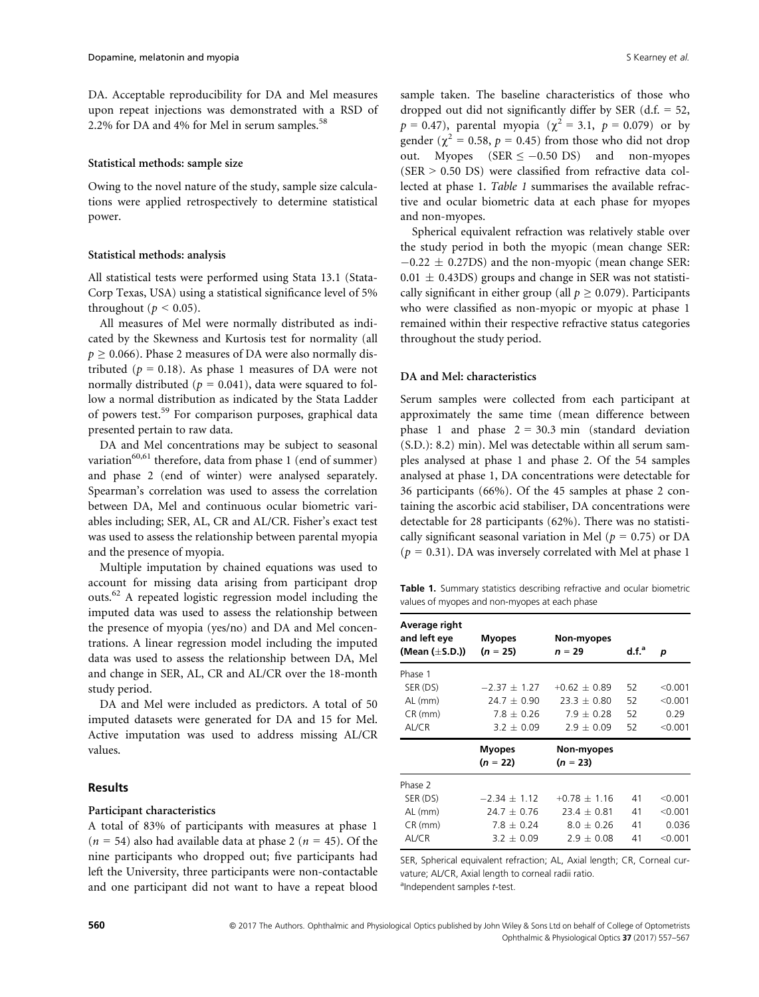DA. Acceptable reproducibility for DA and Mel measures upon repeat injections was demonstrated with a RSD of 2.2% for DA and  $4\%$  for Mel in serum samples.<sup>58</sup>

#### Statistical methods: sample size

Owing to the novel nature of the study, sample size calculations were applied retrospectively to determine statistical power.

#### Statistical methods: analysis

All statistical tests were performed using Stata 13.1 (Stata-Corp Texas, USA) using a statistical significance level of 5% throughout ( $p < 0.05$ ).

All measures of Mel were normally distributed as indicated by the Skewness and Kurtosis test for normality (all  $p \ge 0.066$ ). Phase 2 measures of DA were also normally distributed ( $p = 0.18$ ). As phase 1 measures of DA were not normally distributed ( $p = 0.041$ ), data were squared to follow a normal distribution as indicated by the Stata Ladder of powers test.<sup>59</sup> For comparison purposes, graphical data presented pertain to raw data.

DA and Mel concentrations may be subject to seasonal variation<sup>60,61</sup> therefore, data from phase 1 (end of summer) and phase 2 (end of winter) were analysed separately. Spearman's correlation was used to assess the correlation between DA, Mel and continuous ocular biometric variables including; SER, AL, CR and AL/CR. Fisher's exact test was used to assess the relationship between parental myopia and the presence of myopia.

Multiple imputation by chained equations was used to account for missing data arising from participant drop outs.62 A repeated logistic regression model including the imputed data was used to assess the relationship between the presence of myopia (yes/no) and DA and Mel concentrations. A linear regression model including the imputed data was used to assess the relationship between DA, Mel and change in SER, AL, CR and AL/CR over the 18-month study period.

DA and Mel were included as predictors. A total of 50 imputed datasets were generated for DA and 15 for Mel. Active imputation was used to address missing AL/CR values.

## **Results**

## Participant characteristics

A total of 83% of participants with measures at phase 1  $(n = 54)$  also had available data at phase 2  $(n = 45)$ . Of the nine participants who dropped out; five participants had left the University, three participants were non-contactable and one participant did not want to have a repeat blood

sample taken. The baseline characteristics of those who dropped out did not significantly differ by SER  $(d.f. = 52,$  $p = 0.47$ ), parental myopia ( $\chi^2 = 3.1$ ,  $p = 0.079$ ) or by gender ( $\chi^2$  = 0.58,  $p$  = 0.45) from those who did not drop out. Myopes (SER  $\le -0.50$  DS) and non-myopes (SER > 0.50 DS) were classified from refractive data collected at phase 1. Table 1 summarises the available refractive and ocular biometric data at each phase for myopes and non-myopes.

Spherical equivalent refraction was relatively stable over the study period in both the myopic (mean change SER:  $-0.22 \pm 0.27$ DS) and the non-myopic (mean change SER:  $0.01 \pm 0.43$ DS) groups and change in SER was not statistically significant in either group (all  $p \ge 0.079$ ). Participants who were classified as non-myopic or myopic at phase 1 remained within their respective refractive status categories throughout the study period.

## DA and Mel: characteristics

Serum samples were collected from each participant at approximately the same time (mean difference between phase 1 and phase  $2 = 30.3$  min (standard deviation (S.D.): 8.2) min). Mel was detectable within all serum samples analysed at phase 1 and phase 2. Of the 54 samples analysed at phase 1, DA concentrations were detectable for 36 participants (66%). Of the 45 samples at phase 2 containing the ascorbic acid stabiliser, DA concentrations were detectable for 28 participants (62%). There was no statistically significant seasonal variation in Mel ( $p = 0.75$ ) or DA  $(p = 0.31)$ . DA was inversely correlated with Mel at phase 1

Table 1. Summary statistics describing refractive and ocular biometric values of myopes and non-myopes at each phase

| Average right<br>and left eye | <b>Myopes</b>   | Non-myopes     |          |           |
|-------------------------------|-----------------|----------------|----------|-----------|
| (Mean (±S.D.))                | $(n = 25)$      | $n = 29$       | $d.f.^a$ | р         |
| Phase 1                       |                 |                |          |           |
| SER (DS)                      | $-2.37 + 1.27$  | $+0.62 + 0.89$ | 52       | < 0.001   |
| AL (mm)                       | $24.7 + 0.90$   | $23.3 + 0.80$  | 52       | < 0.001   |
| $CR$ (mm)                     | $7.8 + 0.26$    | $7.9 + 0.28$   | 52       | 0.29      |
| AL/CR                         | $3.2 \pm 0.09$  | $2.9 + 0.09$   | 52       | $<$ 0.001 |
|                               |                 |                |          |           |
|                               | <b>Myopes</b>   | Non-myopes     |          |           |
|                               | $(n = 22)$      | $(n = 23)$     |          |           |
| Phase 2                       |                 |                |          |           |
| SER (DS)                      | $-2.34 + 1.12$  | $+0.78 + 1.16$ | 41       | < 0.001   |
| AL (mm)                       | $24.7 \pm 0.76$ | $23.4 + 0.81$  | 41       | < 0.001   |
| $CR$ (mm)                     | $7.8 + 0.24$    | $8.0 + 0.26$   | 41       | 0.036     |

SER, Spherical equivalent refraction; AL, Axial length; CR, Corneal curvature; AL/CR, Axial length to corneal radii ratio. aIndependent samples t-test.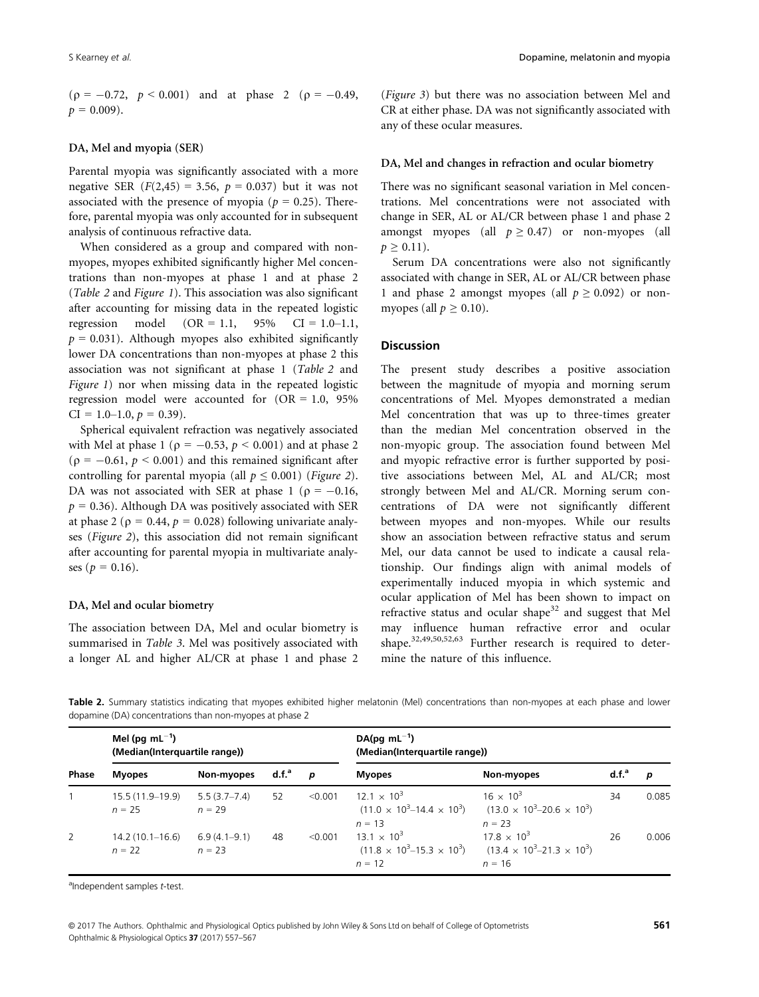$(p = -0.72, p < 0.001)$  and at phase 2  $(p = -0.49,$  $p = 0.009$ ).

## DA, Mel and myopia (SER)

Parental myopia was significantly associated with a more negative SER  $(F(2, 45) = 3.56, p = 0.037)$  but it was not associated with the presence of myopia ( $p = 0.25$ ). Therefore, parental myopia was only accounted for in subsequent analysis of continuous refractive data.

When considered as a group and compared with nonmyopes, myopes exhibited significantly higher Mel concentrations than non-myopes at phase 1 and at phase 2 (Table 2 and Figure 1). This association was also significant after accounting for missing data in the repeated logistic regression model  $(OR = 1.1, 95\% \text{ CI} = 1.0-1.1,$  $p = 0.031$ ). Although myopes also exhibited significantly lower DA concentrations than non-myopes at phase 2 this association was not significant at phase 1 (Table 2 and Figure 1) nor when missing data in the repeated logistic regression model were accounted for  $(OR = 1.0, 95\%)$  $CI = 1.0{\text -}1.0, p = 0.39$ .

Spherical equivalent refraction was negatively associated with Mel at phase 1 ( $p = -0.53$ ,  $p < 0.001$ ) and at phase 2 ( $p = -0.61$ ,  $p \le 0.001$ ) and this remained significant after controlling for parental myopia (all  $p \leq 0.001$ ) (Figure 2). DA was not associated with SER at phase 1 ( $\rho = -0.16$ ,  $p = 0.36$ ). Although DA was positively associated with SER at phase 2 ( $\rho = 0.44$ ,  $p = 0.028$ ) following univariate analyses (Figure 2), this association did not remain significant after accounting for parental myopia in multivariate analyses ( $p = 0.16$ ).

### DA, Mel and ocular biometry

The association between DA, Mel and ocular biometry is summarised in Table 3. Mel was positively associated with a longer AL and higher AL/CR at phase 1 and phase 2

(Figure 3) but there was no association between Mel and CR at either phase. DA was not significantly associated with any of these ocular measures.

### DA, Mel and changes in refraction and ocular biometry

There was no significant seasonal variation in Mel concentrations. Mel concentrations were not associated with change in SER, AL or AL/CR between phase 1 and phase 2 amongst myopes (all  $p \ge 0.47$ ) or non-myopes (all  $p \geq 0.11$ .

Serum DA concentrations were also not significantly associated with change in SER, AL or AL/CR between phase 1 and phase 2 amongst myopes (all  $p \ge 0.092$ ) or nonmyopes (all  $p \geq 0.10$ ).

# **Discussion**

The present study describes a positive association between the magnitude of myopia and morning serum concentrations of Mel. Myopes demonstrated a median Mel concentration that was up to three-times greater than the median Mel concentration observed in the non-myopic group. The association found between Mel and myopic refractive error is further supported by positive associations between Mel, AL and AL/CR; most strongly between Mel and AL/CR. Morning serum concentrations of DA were not significantly different between myopes and non-myopes. While our results show an association between refractive status and serum Mel, our data cannot be used to indicate a causal relationship. Our findings align with animal models of experimentally induced myopia in which systemic and ocular application of Mel has been shown to impact on refractive status and ocular shape<sup>32</sup> and suggest that Mel may influence human refractive error and ocular shape.32,49,50,52,63 Further research is required to determine the nature of this influence.

Table 2. Summary statistics indicating that myopes exhibited higher melatonin (Mel) concentrations than non-myopes at each phase and lower dopamine (DA) concentrations than non-myopes at phase 2

|       | Mel (pg $mL^{-1}$ )<br>(Median(Interquartile range)) |                              |          |         | $DA(pq mL^{-1})$<br>(Median(Interquartile range)) |                                                                                                                             |                   |       |  |
|-------|------------------------------------------------------|------------------------------|----------|---------|---------------------------------------------------|-----------------------------------------------------------------------------------------------------------------------------|-------------------|-------|--|
| Phase | <b>Myopes</b>                                        | Non-myopes                   | $d.f.^a$ | D       | <b>Myopes</b>                                     | Non-myopes                                                                                                                  | d.f. <sup>a</sup> | p     |  |
|       | $15.5(11.9-19.9)$<br>$n = 25$                        | $5.5(3.7-7.4)$<br>$n = 29$   | 52       | < 0.001 | $12.1 \times 10^{3}$<br>$n = 13$                  | $16 \times 10^{3}$<br>$(11.0 \times 10^{3} - 14.4 \times 10^{3})$ $(13.0 \times 10^{3} - 20.6 \times 10^{3})$<br>$n = 23$   | 34                | 0.085 |  |
| 2     | $14.2(10.1 - 16.6)$<br>$n = 22$                      | $6.9(4.1 - 9.1)$<br>$n = 23$ | 48       | < 0.001 | $13.1 \times 10^{3}$<br>$n = 12$                  | $17.8 \times 10^{3}$<br>$(11.8 \times 10^{3} - 15.3 \times 10^{3})$ $(13.4 \times 10^{3} - 21.3 \times 10^{3})$<br>$n = 16$ | 26                | 0.006 |  |

<sup>a</sup>Independent samples t-test.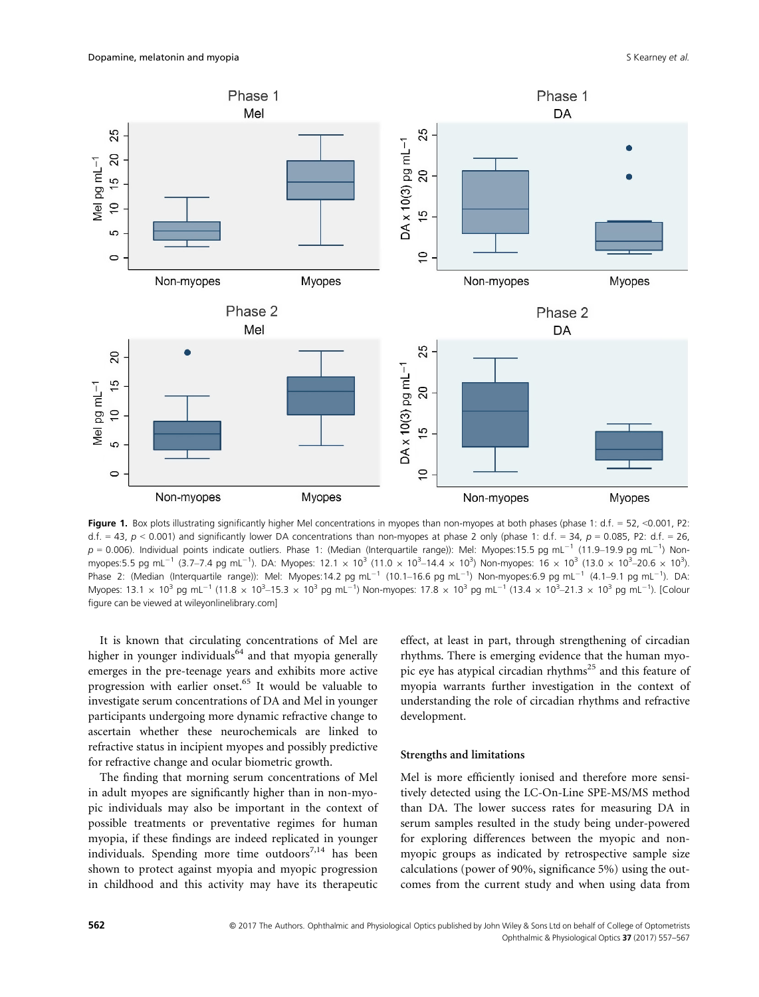

Figure 1. Box plots illustrating significantly higher Mel concentrations in myopes than non-myopes at both phases (phase 1:  $d.f. = 52$ , <0.001, P2: d.f. = 43,  $p$  < 0.001) and significantly lower DA concentrations than non-myopes at phase 2 only (phase 1: d.f. = 34,  $p$  = 0.085, P2: d.f. = 26,  $p = 0.006$ ). Individual points indicate outliers. Phase 1: (Median (Interquartile range)): Mel: Myopes:15.5 pg mL<sup>-1</sup> (11.9–19.9 pg mL<sup>-1</sup>) Nonmyopes:5.5 pg mL<sup>-1</sup> (3.7–7.4 pg mL<sup>-1</sup>). DA: Myopes: 12.1 × 10<sup>3</sup> (11.0 × 10<sup>3</sup>–14.4 × 10<sup>3</sup>) Non-myopes: 16 × 10<sup>3</sup> (13.0 × 10<sup>3</sup>–20.6 × 10<sup>3</sup>) Phase 2: (Median (Interquartile range)): Mel: Myopes:14.2 pg mL<sup>-1</sup> (10.1–16.6 pg mL<sup>-1</sup>) Non-myopes:6.9 pg mL<sup>-1</sup> (4.1–9.1 pg mL<sup>-1</sup>). DA: Myopes: 13.1  $\times$  10<sup>3</sup> pg mL<sup>-1</sup> (11.8  $\times$  10<sup>3</sup>-15.3  $\times$  10<sup>3</sup> pg mL<sup>-1</sup>) Non-myopes: 17.8  $\times$  10<sup>3</sup> pg mL<sup>-1</sup> (13.4  $\times$  10<sup>3</sup>-21.3  $\times$  10<sup>3</sup> pg mL<sup>-1</sup>). [Colour figure can be viewed at wileyonlinelibrary.com]

It is known that circulating concentrations of Mel are higher in younger individuals $^{64}$  and that myopia generally emerges in the pre-teenage years and exhibits more active progression with earlier onset.<sup>65</sup> It would be valuable to investigate serum concentrations of DA and Mel in younger participants undergoing more dynamic refractive change to ascertain whether these neurochemicals are linked to refractive status in incipient myopes and possibly predictive for refractive change and ocular biometric growth.

The finding that morning serum concentrations of Mel in adult myopes are significantly higher than in non-myopic individuals may also be important in the context of possible treatments or preventative regimes for human myopia, if these findings are indeed replicated in younger individuals. Spending more time outdoors $^{7,14}$  has been shown to protect against myopia and myopic progression in childhood and this activity may have its therapeutic effect, at least in part, through strengthening of circadian rhythms. There is emerging evidence that the human myopic eye has atypical circadian rhythms<sup>25</sup> and this feature of myopia warrants further investigation in the context of understanding the role of circadian rhythms and refractive development.

### Strengths and limitations

Mel is more efficiently ionised and therefore more sensitively detected using the LC-On-Line SPE-MS/MS method than DA. The lower success rates for measuring DA in serum samples resulted in the study being under-powered for exploring differences between the myopic and nonmyopic groups as indicated by retrospective sample size calculations (power of 90%, significance 5%) using the outcomes from the current study and when using data from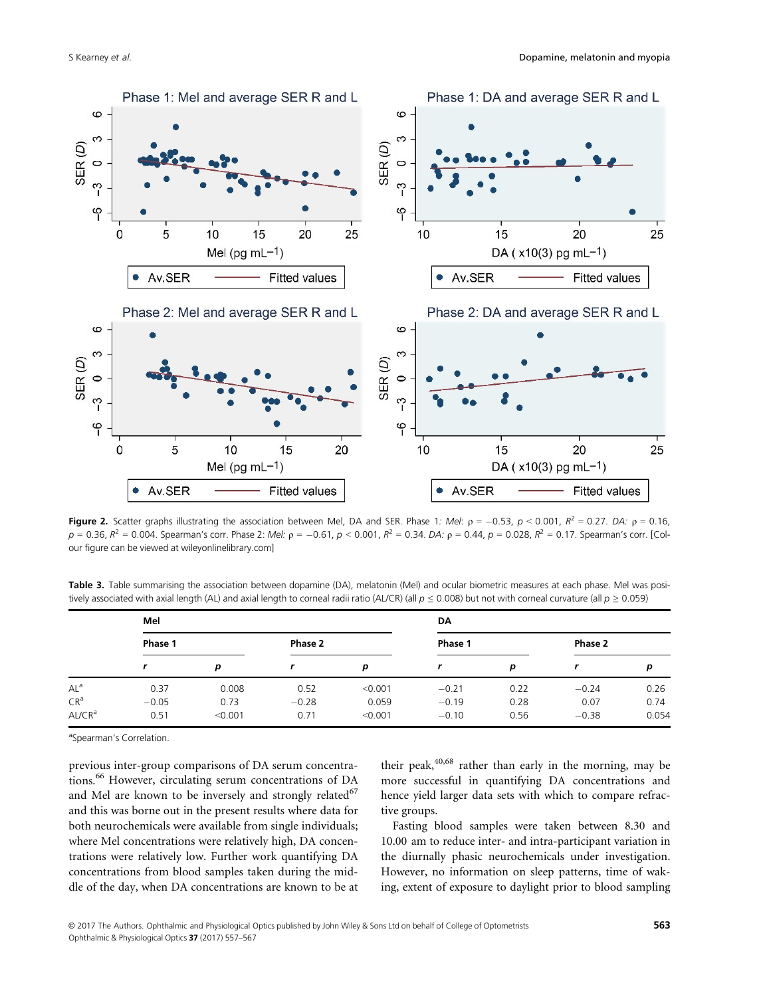

**Figure 2.** Scatter graphs illustrating the association between Mel, DA and SER. Phase 1: Mel:  $p = -0.53$ ,  $p < 0.001$ ,  $R^2 = 0.27$ . DA:  $p = 0.16$ ,  $p = 0.36$ ,  $R^2 = 0.004$ . Spearman's corr. Phase 2: Mel:  $p = -0.61$ ,  $p < 0.001$ ,  $R^2 = 0.34$ . DA:  $p = 0.44$ ,  $p = 0.028$ ,  $R^2 = 0.17$ . Spearman's corr. [Colour figure can be viewed at wileyonlinelibrary.com]

Table 3. Table summarising the association between dopamine (DA), melatonin (Mel) and ocular biometric measures at each phase. Mel was positively associated with axial length (AL) and axial length to corneal radii ratio (AL/CR) (all  $p \le 0.008$ ) but not with corneal curvature (all  $p \ge 0.059$ )

|                    | Mel     |         |         |         | DA      |      |         |       |
|--------------------|---------|---------|---------|---------|---------|------|---------|-------|
|                    | Phase 1 |         | Phase 2 |         | Phase 1 |      | Phase 2 |       |
|                    |         | р       |         | p       |         | р    |         | р     |
| $AL^a$             | 0.37    | 0.008   | 0.52    | < 0.001 | $-0.21$ | 0.22 | $-0.24$ | 0.26  |
| CR <sup>a</sup>    | $-0.05$ | 0.73    | $-0.28$ | 0.059   | $-0.19$ | 0.28 | 0.07    | 0.74  |
| AL/CR <sup>a</sup> | 0.51    | < 0.001 | 0.71    | < 0.001 | $-0.10$ | 0.56 | $-0.38$ | 0.054 |

aSpearman's Correlation.

previous inter-group comparisons of DA serum concentrations.<sup>66</sup> However, circulating serum concentrations of DA and Mel are known to be inversely and strongly related $67$ and this was borne out in the present results where data for both neurochemicals were available from single individuals; where Mel concentrations were relatively high, DA concentrations were relatively low. Further work quantifying DA concentrations from blood samples taken during the middle of the day, when DA concentrations are known to be at their peak, $40,68$  rather than early in the morning, may be more successful in quantifying DA concentrations and hence yield larger data sets with which to compare refractive groups.

Fasting blood samples were taken between 8.30 and 10.00 am to reduce inter- and intra-participant variation in the diurnally phasic neurochemicals under investigation. However, no information on sleep patterns, time of waking, extent of exposure to daylight prior to blood sampling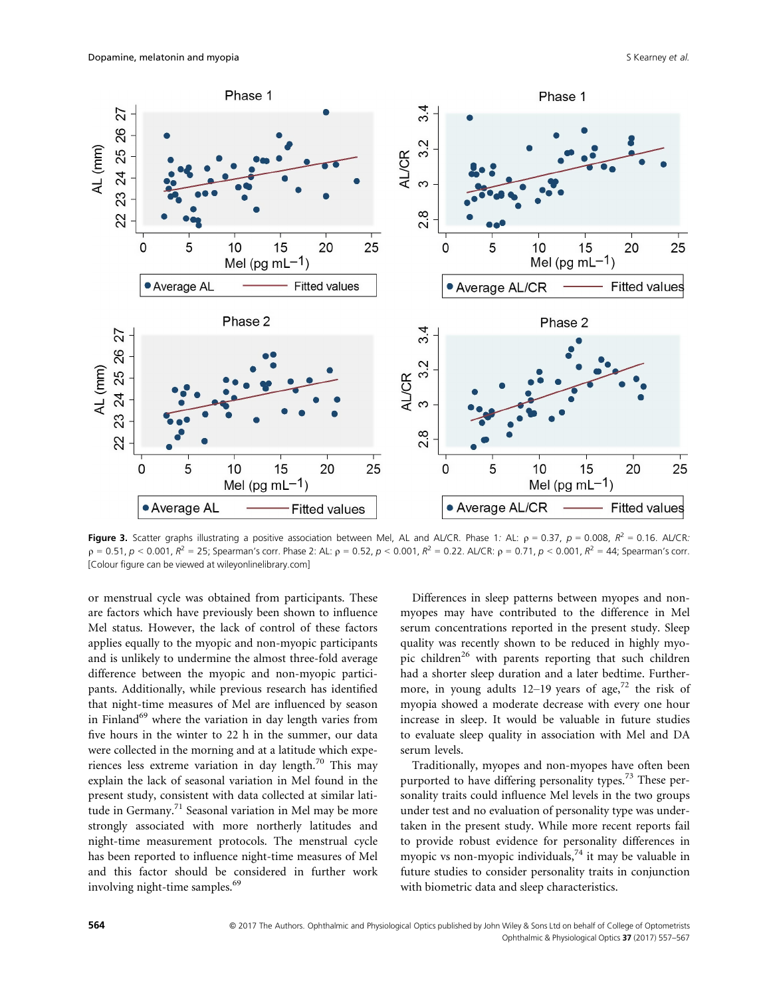

Figure 3. Scatter graphs illustrating a positive association between Mel, AL and AL/CR. Phase 1: AL:  $p = 0.37$ ,  $p = 0.008$ ,  $R^2 = 0.16$ . AL/CR:  $p = 0.51$ ,  $p < 0.001$ ,  $R^2 = 25$ ; Spearman's corr. Phase 2: AL:  $p = 0.52$ ,  $p < 0.001$ ,  $R^2 = 0.22$ . AL/CR:  $p = 0.71$ ,  $p < 0.001$ ,  $R^2 = 44$ ; Spearman's corr. [Colour figure can be viewed at wileyonlinelibrary.com]

or menstrual cycle was obtained from participants. These are factors which have previously been shown to influence Mel status. However, the lack of control of these factors applies equally to the myopic and non-myopic participants and is unlikely to undermine the almost three-fold average difference between the myopic and non-myopic participants. Additionally, while previous research has identified that night-time measures of Mel are influenced by season in Finland<sup>69</sup> where the variation in day length varies from five hours in the winter to 22 h in the summer, our data were collected in the morning and at a latitude which experiences less extreme variation in day length. $^{70}$  This may explain the lack of seasonal variation in Mel found in the present study, consistent with data collected at similar latitude in Germany.<sup>71</sup> Seasonal variation in Mel may be more strongly associated with more northerly latitudes and night-time measurement protocols. The menstrual cycle has been reported to influence night-time measures of Mel and this factor should be considered in further work involving night-time samples.<sup>69</sup>

Differences in sleep patterns between myopes and nonmyopes may have contributed to the difference in Mel serum concentrations reported in the present study. Sleep quality was recently shown to be reduced in highly myopic children<sup>26</sup> with parents reporting that such children had a shorter sleep duration and a later bedtime. Furthermore, in young adults 12–19 years of age,<sup>72</sup> the risk of myopia showed a moderate decrease with every one hour increase in sleep. It would be valuable in future studies to evaluate sleep quality in association with Mel and DA serum levels.

Traditionally, myopes and non-myopes have often been purported to have differing personality types.<sup>73</sup> These personality traits could influence Mel levels in the two groups under test and no evaluation of personality type was undertaken in the present study. While more recent reports fail to provide robust evidence for personality differences in myopic vs non-myopic individuals, $74$  it may be valuable in future studies to consider personality traits in conjunction with biometric data and sleep characteristics.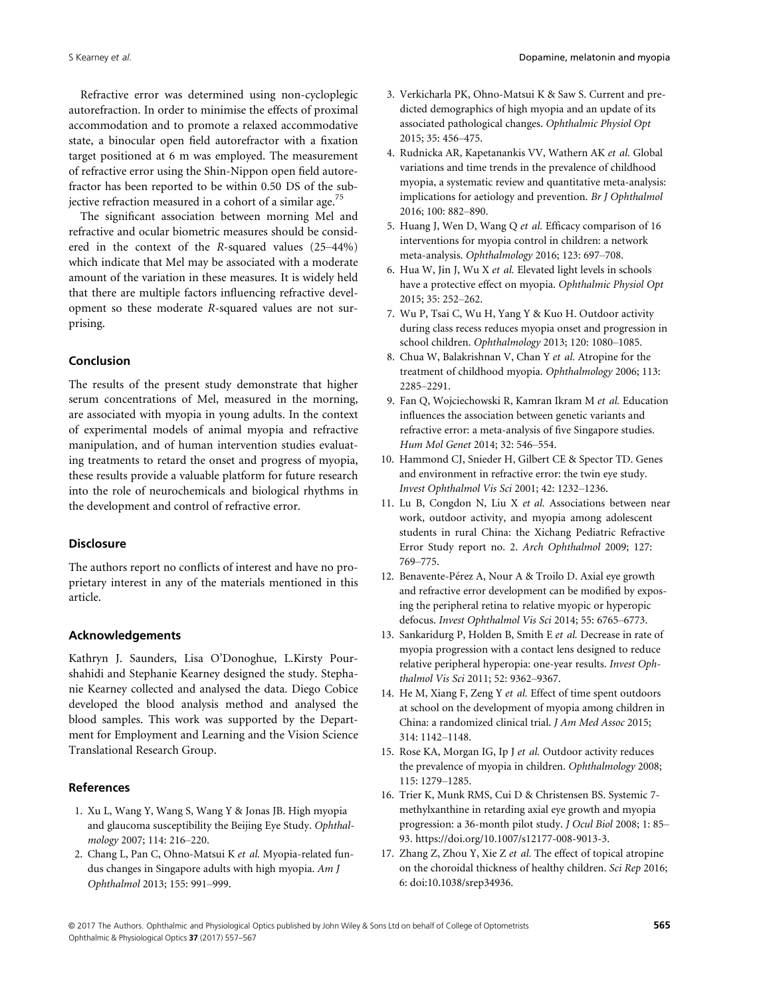Refractive error was determined using non-cycloplegic autorefraction. In order to minimise the effects of proximal accommodation and to promote a relaxed accommodative state, a binocular open field autorefractor with a fixation target positioned at 6 m was employed. The measurement of refractive error using the Shin-Nippon open field autorefractor has been reported to be within 0.50 DS of the subjective refraction measured in a cohort of a similar age.<sup>75</sup>

The significant association between morning Mel and refractive and ocular biometric measures should be considered in the context of the R-squared values (25–44%) which indicate that Mel may be associated with a moderate amount of the variation in these measures. It is widely held that there are multiple factors influencing refractive development so these moderate R-squared values are not surprising.

# Conclusion

The results of the present study demonstrate that higher serum concentrations of Mel, measured in the morning, are associated with myopia in young adults. In the context of experimental models of animal myopia and refractive manipulation, and of human intervention studies evaluating treatments to retard the onset and progress of myopia, these results provide a valuable platform for future research into the role of neurochemicals and biological rhythms in the development and control of refractive error.

## **Disclosure**

The authors report no conflicts of interest and have no proprietary interest in any of the materials mentioned in this article.

# Acknowledgements

Kathryn J. Saunders, Lisa O'Donoghue, L.Kirsty Pourshahidi and Stephanie Kearney designed the study. Stephanie Kearney collected and analysed the data. Diego Cobice developed the blood analysis method and analysed the blood samples. This work was supported by the Department for Employment and Learning and the Vision Science Translational Research Group.

# References

- 1. Xu L, Wang Y, Wang S, Wang Y & Jonas JB. High myopia and glaucoma susceptibility the Beijing Eye Study. Ophthalmology 2007; 114: 216–220.
- 2. Chang L, Pan C, Ohno-Matsui K et al. Myopia-related fundus changes in Singapore adults with high myopia. Am J Ophthalmol 2013; 155: 991–999.
- 3. Verkicharla PK, Ohno-Matsui K & Saw S. Current and predicted demographics of high myopia and an update of its associated pathological changes. Ophthalmic Physiol Opt 2015; 35: 456–475.
- 4. Rudnicka AR, Kapetanankis VV, Wathern AK et al. Global variations and time trends in the prevalence of childhood myopia, a systematic review and quantitative meta-analysis: implications for aetiology and prevention. Br J Ophthalmol 2016; 100: 882–890.
- 5. Huang J, Wen D, Wang Q et al. Efficacy comparison of 16 interventions for myopia control in children: a network meta-analysis. Ophthalmology 2016; 123: 697–708.
- 6. Hua W, Jin J, Wu X et al. Elevated light levels in schools have a protective effect on myopia. Ophthalmic Physiol Opt 2015; 35: 252–262.
- 7. Wu P, Tsai C, Wu H, Yang Y & Kuo H. Outdoor activity during class recess reduces myopia onset and progression in school children. Ophthalmology 2013; 120: 1080–1085.
- 8. Chua W, Balakrishnan V, Chan Y et al. Atropine for the treatment of childhood myopia. Ophthalmology 2006; 113: 2285–2291.
- 9. Fan Q, Wojciechowski R, Kamran Ikram M et al. Education influences the association between genetic variants and refractive error: a meta-analysis of five Singapore studies. Hum Mol Genet 2014; 32: 546–554.
- 10. Hammond CJ, Snieder H, Gilbert CE & Spector TD. Genes and environment in refractive error: the twin eye study. Invest Ophthalmol Vis Sci 2001; 42: 1232–1236.
- 11. Lu B, Congdon N, Liu X et al. Associations between near work, outdoor activity, and myopia among adolescent students in rural China: the Xichang Pediatric Refractive Error Study report no. 2. Arch Ophthalmol 2009; 127: 769–775.
- 12. Benavente-Pérez A, Nour A & Troilo D. Axial eye growth and refractive error development can be modified by exposing the peripheral retina to relative myopic or hyperopic defocus. Invest Ophthalmol Vis Sci 2014; 55: 6765–6773.
- 13. Sankaridurg P, Holden B, Smith E et al. Decrease in rate of myopia progression with a contact lens designed to reduce relative peripheral hyperopia: one-year results. Invest Ophthalmol Vis Sci 2011; 52: 9362–9367.
- 14. He M, Xiang F, Zeng Y et al. Effect of time spent outdoors at school on the development of myopia among children in China: a randomized clinical trial. J Am Med Assoc 2015; 314: 1142–1148.
- 15. Rose KA, Morgan IG, Ip J et al. Outdoor activity reduces the prevalence of myopia in children. Ophthalmology 2008; 115: 1279–1285.
- 16. Trier K, Munk RMS, Cui D & Christensen BS. Systemic 7 methylxanthine in retarding axial eye growth and myopia progression: a 36-month pilot study. J Ocul Biol 2008; 1: 85– 93. [https://doi.org/10.1007/s12177-008-9013-3.](https://doi.org/10.1007/s12177-008-9013-3)
- 17. Zhang Z, Zhou Y, Xie Z et al. The effect of topical atropine on the choroidal thickness of healthy children. Sci Rep 2016; 6: doi[:10.1038/srep34936.](https://doi.org/10.1038/srep34936)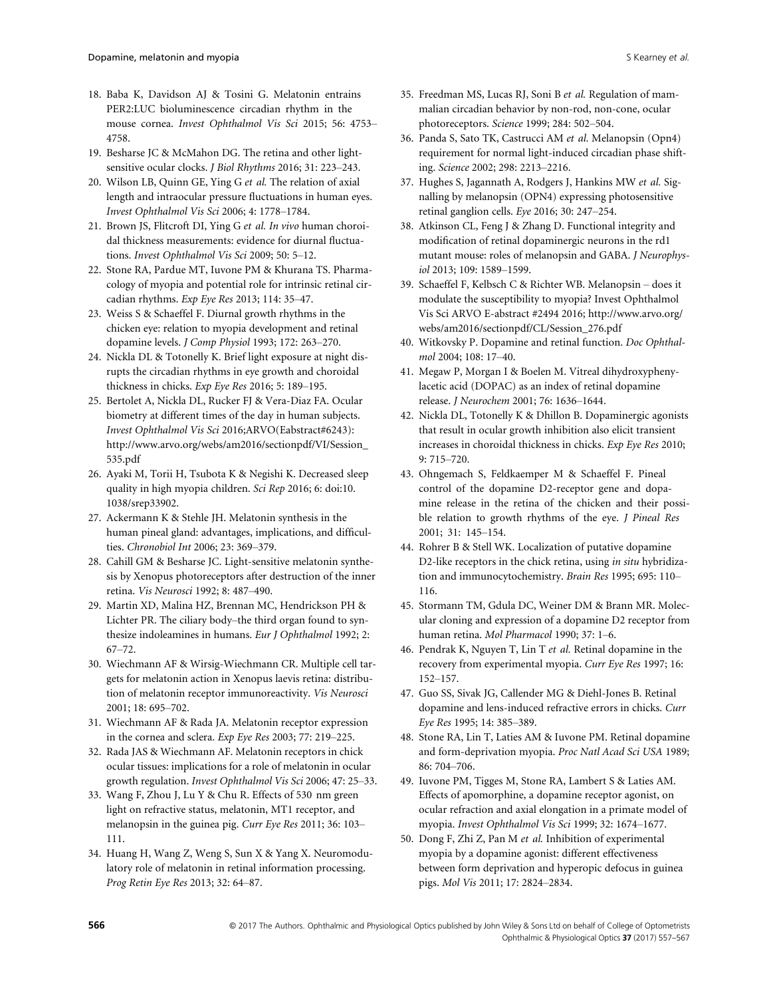- 18. Baba K, Davidson AJ & Tosini G. Melatonin entrains PER2:LUC bioluminescence circadian rhythm in the mouse cornea. Invest Ophthalmol Vis Sci 2015; 56: 4753– 4758.
- 19. Besharse JC & McMahon DG. The retina and other lightsensitive ocular clocks. J Biol Rhythms 2016; 31: 223–243.
- 20. Wilson LB, Quinn GE, Ying G et al. The relation of axial length and intraocular pressure fluctuations in human eyes. Invest Ophthalmol Vis Sci 2006; 4: 1778–1784.
- 21. Brown JS, Flitcroft DI, Ying G et al. In vivo human choroidal thickness measurements: evidence for diurnal fluctuations. Invest Ophthalmol Vis Sci 2009; 50: 5–12.
- 22. Stone RA, Pardue MT, Iuvone PM & Khurana TS. Pharmacology of myopia and potential role for intrinsic retinal circadian rhythms. Exp Eye Res 2013; 114: 35–47.
- 23. Weiss S & Schaeffel F. Diurnal growth rhythms in the chicken eye: relation to myopia development and retinal dopamine levels. J Comp Physiol 1993; 172: 263–270.
- 24. Nickla DL & Totonelly K. Brief light exposure at night disrupts the circadian rhythms in eye growth and choroidal thickness in chicks. Exp Eye Res 2016; 5: 189–195.
- 25. Bertolet A, Nickla DL, Rucker FJ & Vera-Diaz FA. Ocular biometry at different times of the day in human subjects. Invest Ophthalmol Vis Sci 2016;ARVO(Eabstract#6243): [http://www.arvo.org/webs/am2016/sectionpdf/VI/Session\\_](http://www.arvo.org/webs/am2016/sectionpdf/VI/Session_535.pdf) [535.pdf](http://www.arvo.org/webs/am2016/sectionpdf/VI/Session_535.pdf)
- 26. Ayaki M, Torii H, Tsubota K & Negishi K. Decreased sleep quality in high myopia children. Sci Rep 2016; 6: doi:[10.](https://doi.org/10.1038/srep33902) [1038/srep33902.](https://doi.org/10.1038/srep33902)
- 27. Ackermann K & Stehle JH. Melatonin synthesis in the human pineal gland: advantages, implications, and difficulties. Chronobiol Int 2006; 23: 369–379.
- 28. Cahill GM & Besharse JC. Light-sensitive melatonin synthesis by Xenopus photoreceptors after destruction of the inner retina. Vis Neurosci 1992; 8: 487–490.
- 29. Martin XD, Malina HZ, Brennan MC, Hendrickson PH & Lichter PR. The ciliary body–the third organ found to synthesize indoleamines in humans. Eur J Ophthalmol 1992; 2: 67–72.
- 30. Wiechmann AF & Wirsig-Wiechmann CR. Multiple cell targets for melatonin action in Xenopus laevis retina: distribution of melatonin receptor immunoreactivity. Vis Neurosci 2001; 18: 695–702.
- 31. Wiechmann AF & Rada JA. Melatonin receptor expression in the cornea and sclera. Exp Eye Res 2003; 77: 219–225.
- 32. Rada JAS & Wiechmann AF. Melatonin receptors in chick ocular tissues: implications for a role of melatonin in ocular growth regulation. Invest Ophthalmol Vis Sci 2006; 47: 25–33.
- 33. Wang F, Zhou J, Lu Y & Chu R. Effects of 530 nm green light on refractive status, melatonin, MT1 receptor, and melanopsin in the guinea pig. Curr Eye Res 2011; 36: 103– 111.
- 34. Huang H, Wang Z, Weng S, Sun X & Yang X. Neuromodulatory role of melatonin in retinal information processing. Prog Retin Eye Res 2013; 32: 64–87.
- 35. Freedman MS, Lucas RJ, Soni B et al. Regulation of mammalian circadian behavior by non-rod, non-cone, ocular photoreceptors. Science 1999; 284: 502–504.
- 36. Panda S, Sato TK, Castrucci AM et al. Melanopsin (Opn4) requirement for normal light-induced circadian phase shifting. Science 2002; 298: 2213–2216.
- 37. Hughes S, Jagannath A, Rodgers J, Hankins MW et al. Signalling by melanopsin (OPN4) expressing photosensitive retinal ganglion cells. Eye 2016; 30: 247–254.
- 38. Atkinson CL, Feng J & Zhang D. Functional integrity and modification of retinal dopaminergic neurons in the rd1 mutant mouse: roles of melanopsin and GABA. J Neurophysiol 2013; 109: 1589–1599.
- 39. Schaeffel F, Kelbsch C & Richter WB. Melanopsin does it modulate the susceptibility to myopia? Invest Ophthalmol Vis Sci ARVO E-abstract #2494 2016; [http://www.arvo.org/](http://www.arvo.org/webs/am2016/sectionpdf/CL/Session_276.pdf) [webs/am2016/sectionpdf/CL/Session\\_276.pdf](http://www.arvo.org/webs/am2016/sectionpdf/CL/Session_276.pdf)
- 40. Witkovsky P. Dopamine and retinal function. Doc Ophthalmol 2004; 108: 17–40.
- 41. Megaw P, Morgan I & Boelen M. Vitreal dihydroxyphenylacetic acid (DOPAC) as an index of retinal dopamine release. J Neurochem 2001; 76: 1636–1644.
- 42. Nickla DL, Totonelly K & Dhillon B. Dopaminergic agonists that result in ocular growth inhibition also elicit transient increases in choroidal thickness in chicks. Exp Eye Res 2010; 9: 715–720.
- 43. Ohngemach S, Feldkaemper M & Schaeffel F. Pineal control of the dopamine D2-receptor gene and dopamine release in the retina of the chicken and their possible relation to growth rhythms of the eye. J Pineal Res 2001; 31: 145–154.
- 44. Rohrer B & Stell WK. Localization of putative dopamine D2-like receptors in the chick retina, using in situ hybridization and immunocytochemistry. Brain Res 1995; 695: 110– 116.
- 45. Stormann TM, Gdula DC, Weiner DM & Brann MR. Molecular cloning and expression of a dopamine D2 receptor from human retina. Mol Pharmacol 1990; 37: 1–6.
- 46. Pendrak K, Nguyen T, Lin T et al. Retinal dopamine in the recovery from experimental myopia. Curr Eye Res 1997; 16: 152–157.
- 47. Guo SS, Sivak JG, Callender MG & Diehl-Jones B. Retinal dopamine and lens-induced refractive errors in chicks. Curr Eye Res 1995; 14: 385–389.
- 48. Stone RA, Lin T, Laties AM & Iuvone PM. Retinal dopamine and form-deprivation myopia. Proc Natl Acad Sci USA 1989; 86: 704–706.
- 49. Iuvone PM, Tigges M, Stone RA, Lambert S & Laties AM. Effects of apomorphine, a dopamine receptor agonist, on ocular refraction and axial elongation in a primate model of myopia. Invest Ophthalmol Vis Sci 1999; 32: 1674–1677.
- 50. Dong F, Zhi Z, Pan M et al. Inhibition of experimental myopia by a dopamine agonist: different effectiveness between form deprivation and hyperopic defocus in guinea pigs. Mol Vis 2011; 17: 2824–2834.